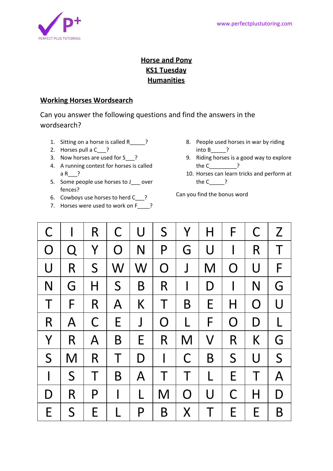

## **Horse and Pony KS1 Tuesday Humanities**

## **Working Horses Wordsearch**

Can you answer the following questions and find the answers in the wordsearch?

- 1. Sitting on a horse is called R\_\_\_\_\_?
- 2. Horses pull a C<sub>\_\_\_</sub>?
- 3. Now horses are used for S\_\_\_?
- 4. A running contest for horses is called a R\_\_\_?
- 5. Some people use horses to J\_\_\_ over fences?
- 6. Cowboys use horses to herd C\_\_\_?
- 7. Horses were used to work on F\_\_\_\_?
- 8. People used horses in war by riding into B\_\_\_\_\_?
- 9. Riding horses is a good way to explore the C\_\_\_\_\_\_\_\_\_?
- 10. Horses can learn tricks and perform at the C ?

Can you find the bonus word

| C                        |             | R           | $\mathsf C$    | U | S           | Y | н                                          | F           | C        | Z            |
|--------------------------|-------------|-------------|----------------|---|-------------|---|--------------------------------------------|-------------|----------|--------------|
| $\Omega$                 | Q           | Y           | $\overline{O}$ | N | P           | G | $\mathsf{U}% _{t}\left( \mathsf{U}\right)$ |             | R        | Τ            |
| U                        | R           | $\mathsf S$ | ${\sf W}$      | W | O           | J | M                                          | O           | U        | F            |
| N                        | G           | H           | $\mathsf S$    | B | $\mathsf R$ | I | D                                          |             | N        | G            |
| Τ                        | F           | R           | ${\sf A}$      | K | Τ           | B | E                                          | H           | $\Omega$ | $\mathbf{I}$ |
| R                        | Α           | C           | E              | J | O           | L | F                                          | $\mathbf O$ | D        | L            |
| Y                        | R           | A           | B              | E | R           | M | $\bm{\mathsf{V}}$                          | R           | K        | G            |
| S                        | M           | R           | Τ              | D | l           | C | B                                          | $\mathsf S$ | U        | S            |
| $\overline{\phantom{a}}$ | S           | Τ           | B              | A | Τ           | Τ | L                                          | E           | Τ        | Α            |
| D                        | R           | P           |                | L | M           | O | U                                          | C           | H        | D            |
| E                        | $\mathsf S$ | E           |                | P | B           | X |                                            | E           | E        | B            |